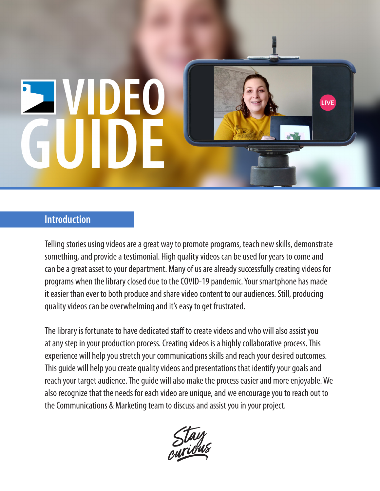# **SIVIDEO** GUID

# **Introduction**

Telling stories using videos are a great way to promote programs, teach new skills, demonstrate something, and provide a testimonial. High quality videos can be used for years to come and can be a great asset to your department. Many of us are already successfully creating videos for programs when the library closed due to the COVID-19 pandemic. Your smartphone has made it easier than ever to both produce and share video content to our audiences. Still, producing quality videos can be overwhelming and it's easy to get frustrated.

LIVE

The library is fortunate to have dedicated staff to create videos and who will also assist you at any step in your production process. Creating videos is a highly collaborative process. This experience will help you stretch your communications skills and reach your desired outcomes. This guide will help you create quality videos and presentations that identify your goals and reach your target audience. The guide will also make the process easier and more enjoyable. We also recognize that the needs for each video are unique, and we encourage you to reach out to the Communications & Marketing team to discuss and assist you in your project.

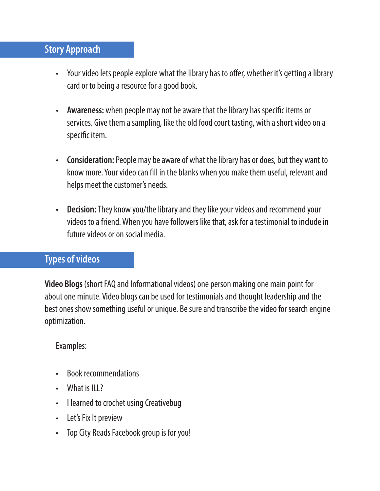# **Story Approach**

- Your video lets people explore what the library has to offer, whether it's getting a library card or to being a resource for a good book.
- **• Awareness:** when people may not be aware that the library has specific items or services. Give them a sampling, like the old food court tasting, with a short video on a specific item.
- **• Consideration:** People may be aware of what the library has or does, but they want to know more. Your video can fill in the blanks when you make them useful, relevant and helps meet the customer's needs.
- **• Decision:**They know you/the library and they like your videos and recommend your videos to a friend. When you have followers like that, ask for a testimonial to include in future videos or on social media.

# **Types of videos**

**Video Blogs** (short FAQ and Informational videos) one person making one main point for about one minute. Video blogs can be used for testimonials and thought leadership and the best ones show something useful or unique. Be sure and transcribe the video for search engine optimization.

# Examples:

- Book recommendations
- What is ILL?
- I learned to crochet using Creativebug
- Let's Fix It preview
- Top City Reads Facebook group is for you!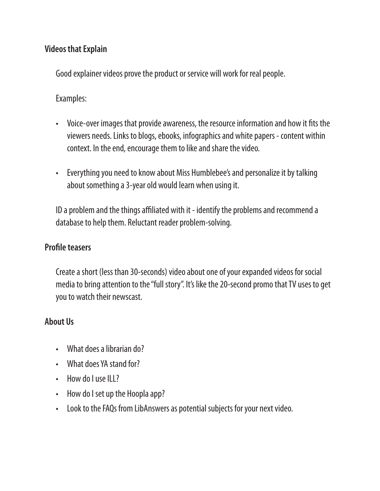#### **Videos that Explain**

Good explainer videos prove the product or service will work for real people.

Examples:

- Voice-over images that provide awareness, the resource information and how it fits the viewers needs. Links to blogs, ebooks, infographics and white papers - content within context. In the end, encourage them to like and share the video.
- Everything you need to know about Miss Humblebee's and personalize it by talking about something a 3-year old would learn when using it.

ID a problem and the things affiliated with it - identify the problems and recommend a database to help them. Reluctant reader problem-solving.

#### **Profile teasers**

Create a short (less than 30-seconds) video about one of your expanded videos for social media to bring attention to the "full story". It's like the 20-second promo that TV uses to get you to watch their newscast.

#### **About Us**

- What does a librarian do?
- What does YA stand for?
- How do Luse ILL?
- How do I set up the Hoopla app?
- Look to the FAQs from LibAnswers as potential subjects for your next video.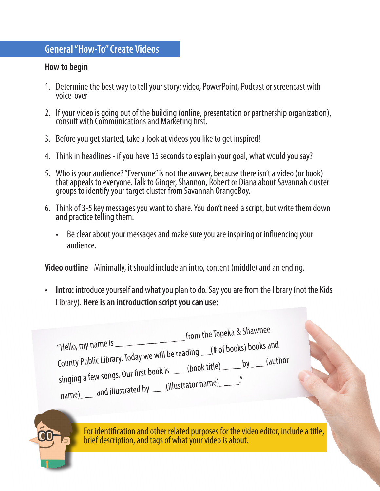#### **General "How-To" Create Videos**

#### **How to begin**

- 1. Determine the best way to tell your story: video, PowerPoint, Podcast or screencast with voice-over
- 2. If your video is going out of the building (online, presentation or partnership organization), consult with Communications and Marketing first.
- 3. Before you get started, take a look at videos you like to get inspired!
- 4. Think in headlines if you have 15 seconds to explain your goal, what would you say?
- 5. Who is your audience? "Everyone" is not the answer, because there isn't a video (or book) that appeals to everyone. Talk to Ginger, Shannon, Robert or Diana about Savannah cluster groups to identify your target cluster from Savannah OrangeBoy.
- 6. Think of 3-5 key messages you want to share. You don't need a script, but write them down and practice telling them.
	- Be clear about your messages and make sure you are inspiring or influencing your audience.

**Video outline** - Minimally, it should include an intro, content (middle) and an ending.

**• Intro:** introduce yourself and what you plan to do. Say you are from the library (not the Kids Library). **Here is an introduction script you can use:**

 "Hello, my name is \_\_\_\_\_\_\_\_\_\_\_\_\_\_ from the Topeka & Shawnee County Public Library. Today we will be reading \_\_(# of books) books and singing a few songs. Our first book is \_\_\_(book title)\_\_\_\_\_ by \_\_\_(author name)\_\_\_\_ and illustrated by \_\_\_(illustrator name)\_\_\_\_

> For identification and other related purposes for the video editor, include a title, brief description, and tags of what your video is about.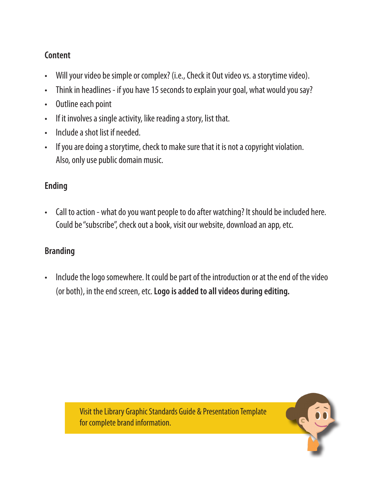### **Content**

- Will your video be simple or complex? (i.e., Check it Out video vs. a storytime video).
- Think in headlines if you have 15 seconds to explain your goal, what would you say?
- Outline each point
- If it involves a single activity, like reading a story, list that.
- Include a shot list if needed.
- If you are doing a storytime, check to make sure that it is not a copyright violation. Also, only use public domain music.

# **Ending**

• Call to action - what do you want people to do after watching? It should be included here. Could be "subscribe", check out a book, visit our website, download an app, etc.

# **Branding**

• Include the logo somewhere. It could be part of the introduction or at the end of the video (or both), in the end screen, etc. **Logo is added to all videos during editing.**



Visit the Library Graphic Standards Guide & Presentation Template for complete brand information.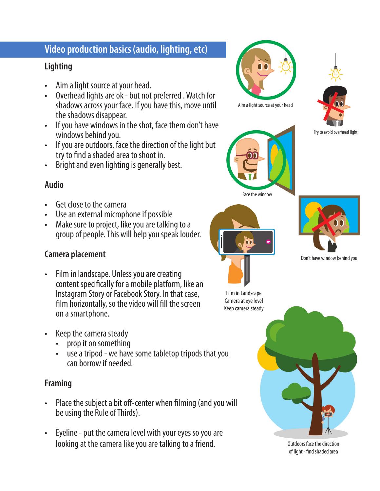# **Video production basics (audio, lighting, etc)**

# **Lighting**

- Aim a light source at your head.
- Overhead lights are ok but not preferred . Watch for shadows across your face. If you have this, move until the shadows disappear.
- If you have windows in the shot, face them don't have windows behind you.
- If you are outdoors, face the direction of the light but try to find a shaded area to shoot in.
- Bright and even lighting is generally best.

#### **Audio**

- Get close to the camera
- Use an external microphone if possible
- Make sure to project, like you are talking to a group of people. This will help you speak louder.

# **Camera placement**

- Film in landscape. Unless you are creating content specifically for a mobile platform, like an Instagram Story or Facebook Story. In that case, film horizontally, so the video will fill the screen on a smartphone.
- Keep the camera steady
	- prop it on something
	- use a tripod we have some tabletop tripods that you can borrow if needed.

#### **Framing**

- Place the subject a bit off-center when filming (and you will be using the Rule of Thirds).
- Eyeline put the camera level with your eyes so you are looking at the camera like you are talking to a friend.









Don't have window behind you

Film in Landscape Camera at eye level Keep camera steady



Outdoors face the direction of light - find shaded area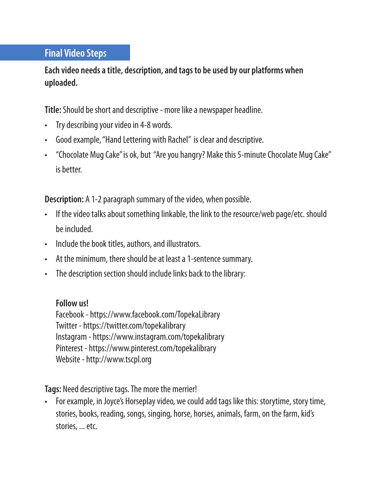# **Final Video Steps**

**Each video needs a title, description, and tags to be used by our platforms when uploaded.** 

**Title:** Should be short and descriptive - more like a newspaper headline.

- Try describing your video in 4-8 words.
- Good example, "Hand Lettering with Rachel" is clear and descriptive.
- "Chocolate Mug Cake" is ok, but "Are you hangry? Make this 5-minute Chocolate Mug Cake" is better.

**Description:** A 1-2 paragraph summary of the video, when possible.

- If the video talks about something linkable, the link to the resource/web page/etc. should be included.
- Include the book titles, authors, and illustrators.
- At the minimum, there should be at least a 1-sentence summary.
- The description section should include links back to the library:

**Follow us!**

Facebook - https://www.facebook.com/TopekaLibrary Twitter - https://twitter.com/topekalibrary Instagram - https://www.instagram.com/topekalibrary Pinterest - https://www.pinterest.com/topekalibrary Website - http://www.tscpl.org

**Tags:** Need descriptive tags. The more the merrier!

• For example, in Joyce's Horseplay video, we could add tags like this: storytime, story time, stories, books, reading, songs, singing, horse, horses, animals, farm, on the farm, kid's stories, ... etc.